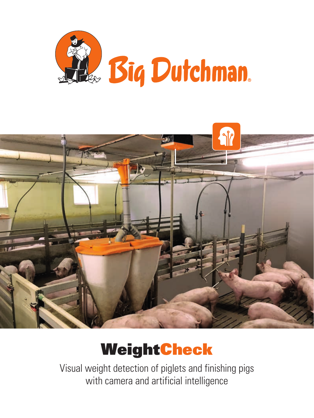



# WeightCheck

Visual weight detection of piglets and finishing pigs with camera and artificial intelligence